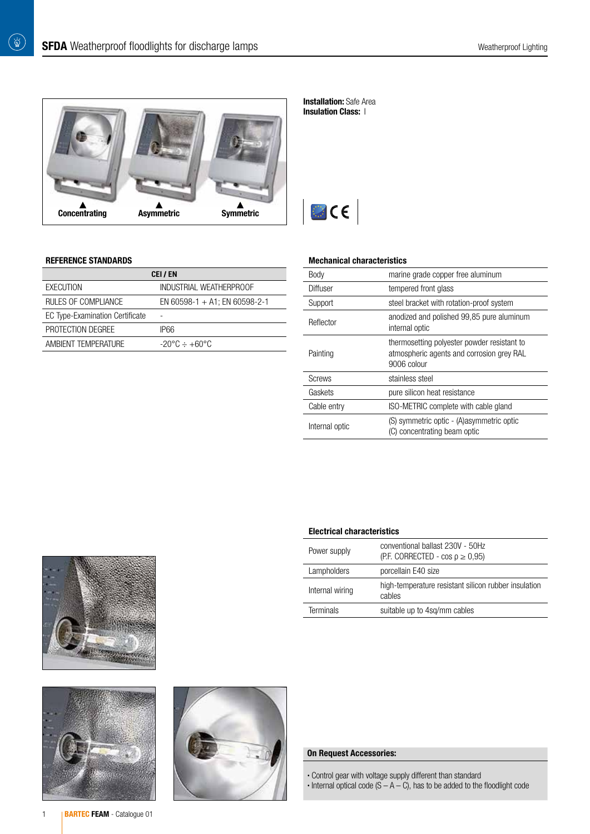

#### **Installation:** Safe Area Insulation Class: |



#### REFERENCE STANDARDS

 $\begin{pmatrix} \overleftrightarrow{\mathbf{Q}} \end{pmatrix}$ 

| CEI / EN                               |                                         |  |  |  |
|----------------------------------------|-----------------------------------------|--|--|--|
| EXECUTION                              | INDUSTRIAL WEATHERPROOF                 |  |  |  |
| RULES OF COMPLIANCE                    | EN 60598-1 + A1; EN 60598-2-1           |  |  |  |
| <b>EC Type-Examination Certificate</b> | ۰                                       |  |  |  |
| PROTECTION DEGREE                      | IP66                                    |  |  |  |
| AMBIENT TEMPERATURE                    | $-20^{\circ}$ C $\div$ +60 $^{\circ}$ C |  |  |  |

#### Mechanical characteristics

| Body           | marine grade copper free aluminum                                                                       |
|----------------|---------------------------------------------------------------------------------------------------------|
| Diffuser       | tempered front glass                                                                                    |
| Support        | steel bracket with rotation-proof system                                                                |
| Reflector      | anodized and polished 99,85 pure aluminum<br>internal optic                                             |
| Painting       | thermosetting polyester powder resistant to<br>atmospheric agents and corrosion grey RAL<br>9006 colour |
| <b>Screws</b>  | stainless steel                                                                                         |
| Gaskets        | pure silicon heat resistance                                                                            |
| Cable entry    | ISO-METRIC complete with cable gland                                                                    |
| Internal optic | (S) symmetric optic - (A) asymmetric optic<br>(C) concentrating beam optic                              |

| <b>Electrical characteristics</b> |                                                                              |  |  |  |
|-----------------------------------|------------------------------------------------------------------------------|--|--|--|
| Power supply                      | conventional ballast 230V - 50Hz<br>(P.F. CORRECTED - cos $\rho \geq 0.95$ ) |  |  |  |
| Lampholders                       | porcellain E40 size                                                          |  |  |  |
| Internal wiring                   | high-temperature resistant silicon rubber insulation<br>cables               |  |  |  |
| Terminals                         | suitable up to 4sq/mm cables                                                 |  |  |  |
|                                   |                                                                              |  |  |  |





# On Request Accessories:

- Control gear with voltage supply different than standard
- $\cdot$  Internal optical code (S  $-$  A  $-$  C), has to be added to the floodlight code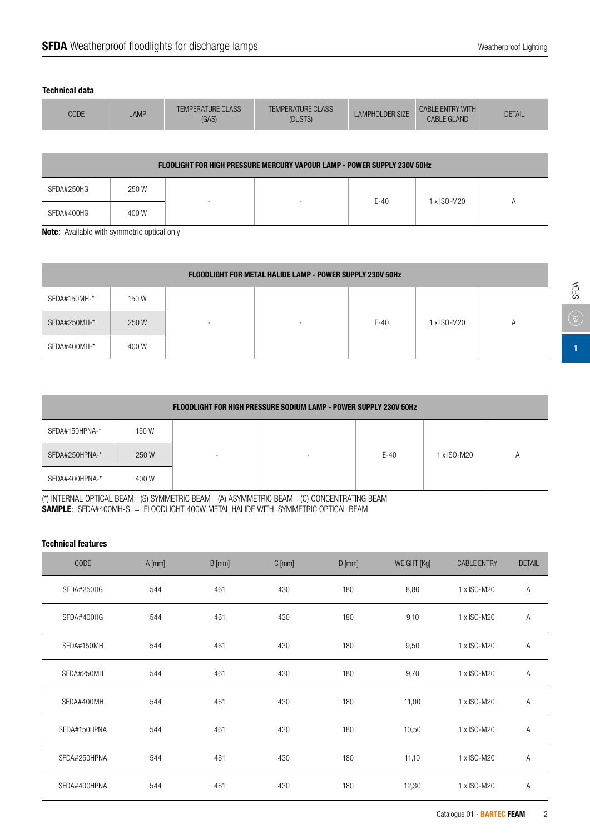### Technical data

| CODE | <b>AMP</b> | <b>TEMPERATURE CLASS</b><br>(GAS) | <b>TEMPERATURE CLASS</b><br>(DUSTS) | <b>LAMPHOLDER SIZE</b> | <b>CABLE ENTRY WITH</b><br><b>CABLE GLAND</b> | <b>DETAIL</b> |
|------|------------|-----------------------------------|-------------------------------------|------------------------|-----------------------------------------------|---------------|
|      |            |                                   |                                     |                        |                                               |               |

| <b>FLOOLIGHT FOR HIGH PRESSURE MERCURY VAPOUR LAMP - POWER SUPPLY 230V 50Hz</b> |       |  |                          |        |             |  |
|---------------------------------------------------------------------------------|-------|--|--------------------------|--------|-------------|--|
| SFDA#250HG                                                                      | 250 W |  |                          | $E-40$ | 1 x ISO-M20 |  |
| SFDA#400HG                                                                      | 400 W |  | $\overline{\phantom{a}}$ |        |             |  |

Note: Available with symmetric optical only

| <b>FLOODLIGHT FOR METAL HALIDE LAMP - POWER SUPPLY 230V 50Hz</b> |       |                          |  |        |             |                |
|------------------------------------------------------------------|-------|--------------------------|--|--------|-------------|----------------|
| SFDA#150MH-*                                                     | 150W  |                          |  |        |             |                |
| SFDA#250MH-*                                                     | 250 W | $\overline{\phantom{a}}$ |  | $E-40$ | 1 x ISO-M20 | $\overline{A}$ |
| SFDA#400MH-*                                                     | 400 W |                          |  |        |             |                |

| <b>FLOODLIGHT FOR HIGH PRESSURE SODIUM LAMP - POWER SUPPLY 230V 50Hz</b> |       |                          |                          |        |             |  |
|--------------------------------------------------------------------------|-------|--------------------------|--------------------------|--------|-------------|--|
| SFDA#150HPNA-*                                                           | 150W  |                          |                          |        |             |  |
| SFDA#250HPNA-*                                                           | 250W  | $\overline{\phantom{a}}$ | $\overline{\phantom{a}}$ | $E-40$ | 1 x ISO-M20 |  |
| SFDA#400HPNA-*                                                           | 400 W |                          |                          |        |             |  |

(\*) INTERNAL OPTICAL BEAM: (S) SYMMETRIC BEAM - (A) ASYMMETRIC BEAM - (C) CONCENTRATING BEAM SAMPLE: SFDA#400MH-S = FLOODLIGHT 400W METAL HALIDE WITH SYMMETRIC OPTICAL BEAM

### Technical features

| <b>CODE</b>  | $A$ [mm] | $B$ [mm] | $C$ [mm] | $D$ [mm] | <b>WEIGHT [Kg]</b> | <b>CABLE ENTRY</b> | <b>DETAIL</b> |
|--------------|----------|----------|----------|----------|--------------------|--------------------|---------------|
| SFDA#250HG   | 544      | 461      | 430      | 180      | 8,80               | 1 x ISO-M20        | A             |
| SFDA#400HG   | 544      | 461      | 430      | 180      | 9,10               | 1 x ISO-M20        | Α             |
| SFDA#150MH   | 544      | 461      | 430      | 180      | 9,50               | 1 x ISO-M20        | A             |
| SFDA#250MH   | 544      | 461      | 430      | 180      | 9,70               | 1 x ISO-M20        | Α             |
| SFDA#400MH   | 544      | 461      | 430      | 180      | 11,00              | 1 x ISO-M20        | A             |
| SFDA#150HPNA | 544      | 461      | 430      | 180      | 10,50              | 1 x ISO-M20        | A             |
| SFDA#250HPNA | 544      | 461      | 430      | 180      | 11,10              | 1 x ISO-M20        | A             |
| SFDA#400HPNA | 544      | 461      | 430      | 180      | 12,30              | 1 x ISO-M20        | A             |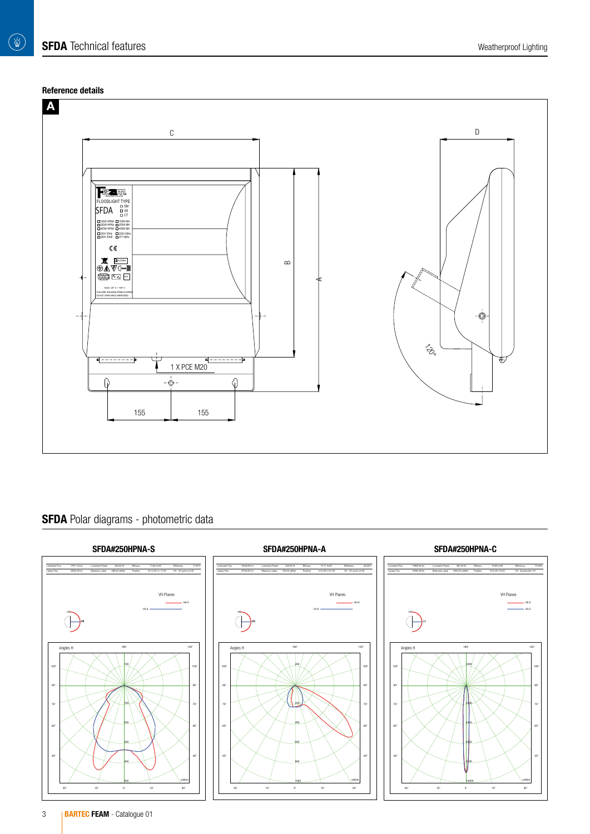# Reference details



# SFDA Polar diagrams - photometric data